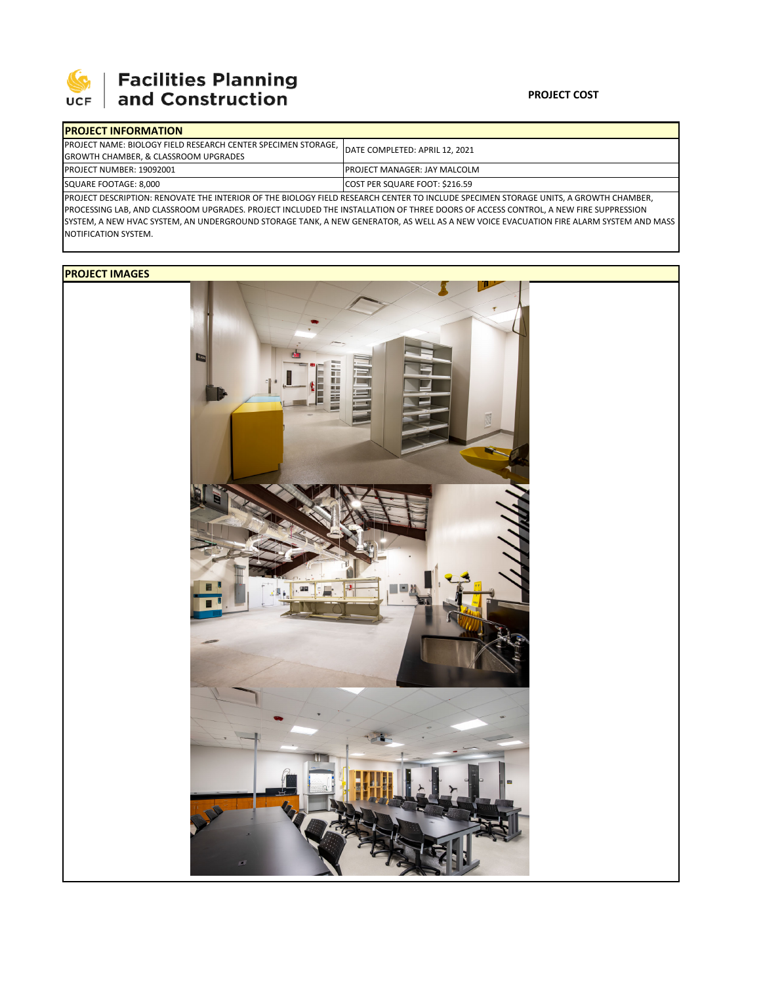

## **Facilities Planning<br>and Construction**

| <b>IPROJECT INFORMATION</b>                                                                                                           |                                      |  |  |  |  |
|---------------------------------------------------------------------------------------------------------------------------------------|--------------------------------------|--|--|--|--|
| <b>PROJECT NAME: BIOLOGY FIELD RESEARCH CENTER SPECIMEN STORAGE.</b>                                                                  | DATE COMPLETED: APRIL 12, 2021       |  |  |  |  |
| <b>GROWTH CHAMBER, &amp; CLASSROOM UPGRADES</b>                                                                                       |                                      |  |  |  |  |
| <b>PROJECT NUMBER: 19092001</b>                                                                                                       | <b>IPROJECT MANAGER: JAY MALCOLM</b> |  |  |  |  |
| SQUARE FOOTAGE: 8,000                                                                                                                 | COST PER SQUARE FOOT: \$216.59       |  |  |  |  |
| IPROJECT DESCRIPTION: RENOVATE THE INTERIOR OF THE BIOLOGY FIELD RESEARCH CENTER TO INCLUDE SPECIMEN STORAGE UNITS. A GROWTH CHAMBER, |                                      |  |  |  |  |

PROJECT DESCRIPTION: RENOVATE THE INTERIOR OF THE BIOLOGY FIELD RESEARCH CENTER TO INCLUDE SPECIMEN STORAGE UNITS, A GROWTH CHAMBER, PROCESSING LAB, AND CLASSROOM UPGRADES. PROJECT INCLUDED THE INSTALLATION OF THREE DOORS OF ACCESS CONTROL, A NEW FIRE SUPPRESSION SYSTEM, A NEW HVAC SYSTEM, AN UNDERGROUND STORAGE TANK, A NEW GENERATOR, AS WELL AS A NEW VOICE EVACUATION FIRE ALARM SYSTEM AND MASS NOTIFICATION SYSTEM.

## **PROJECT IMAGES**